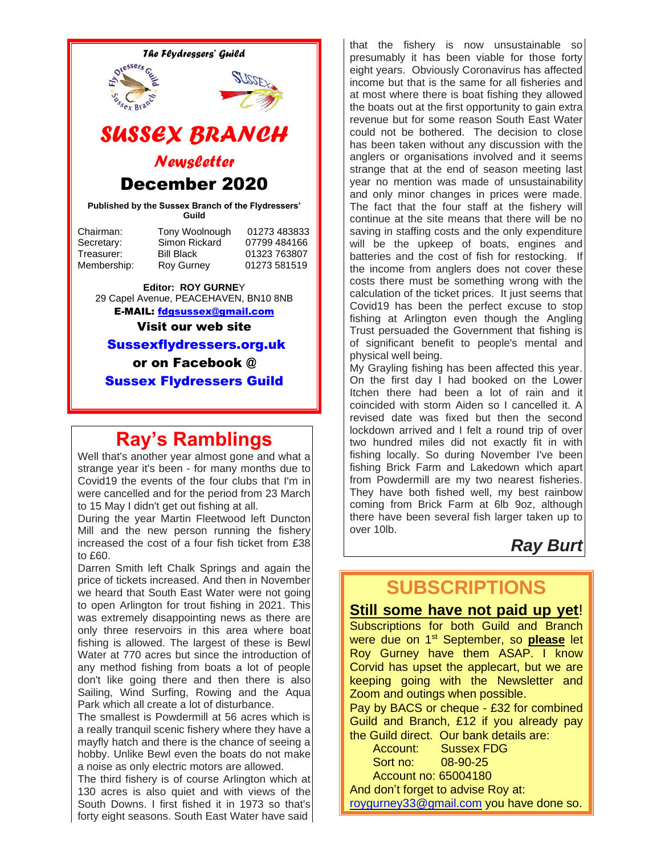

Sussex Flydressers Guild

# **Ray's Ramblings**

Well that's another year almost gone and what a strange year it's been - for many months due to Covid19 the events of the four clubs that I'm in were cancelled and for the period from 23 March to 15 May I didn't get out fishing at all.

During the year Martin Fleetwood left Duncton Mill and the new person running the fishery increased the cost of a four fish ticket from £38 to £60.

Darren Smith left Chalk Springs and again the price of tickets increased. And then in November we heard that South East Water were not going to open Arlington for trout fishing in 2021. This was extremely disappointing news as there are only three reservoirs in this area where boat fishing is allowed. The largest of these is Bewl Water at 770 acres but since the introduction of any method fishing from boats a lot of people don't like going there and then there is also Sailing, Wind Surfing, Rowing and the Aqua Park which all create a lot of disturbance.

The smallest is Powdermill at 56 acres which is a really tranquil scenic fishery where they have a mayfly hatch and there is the chance of seeing a hobby. Unlike Bewl even the boats do not make a noise as only electric motors are allowed.

The third fishery is of course Arlington which at 130 acres is also quiet and with views of the South Downs. I first fished it in 1973 so that's forty eight seasons. South East Water have said

that the fishery is now unsustainable so presumably it has been viable for those forty eight years. Obviously Coronavirus has affected income but that is the same for all fisheries and at most where there is boat fishing they allowed the boats out at the first opportunity to gain extra revenue but for some reason South East Water could not be bothered. The decision to close has been taken without any discussion with the anglers or organisations involved and it seems strange that at the end of season meeting last year no mention was made of unsustainability and only minor changes in prices were made. The fact that the four staff at the fishery will continue at the site means that there will be no saving in staffing costs and the only expenditure will be the upkeep of boats, engines and batteries and the cost of fish for restocking. If the income from anglers does not cover these costs there must be something wrong with the calculation of the ticket prices. It just seems that Covid19 has been the perfect excuse to stop fishing at Arlington even though the Angling Trust persuaded the Government that fishing is of significant benefit to people's mental and physical well being.

My Grayling fishing has been affected this year. On the first day I had booked on the Lower Itchen there had been a lot of rain and it coincided with storm Aiden so I cancelled it. A revised date was fixed but then the second lockdown arrived and I felt a round trip of over two hundred miles did not exactly fit in with fishing locally. So during November I've been fishing Brick Farm and Lakedown which apart from Powdermill are my two nearest fisheries. They have both fished well, my best rainbow coming from Brick Farm at 6lb 9oz, although there have been several fish larger taken up to over 10lb.

#### *Ray Burt*

# **SUBSCRIPTIONS**

**Still some have not paid up yet**! Subscriptions for both Guild and Branch were due on 1st September, so **please** let Roy Gurney have them ASAP. I know Corvid has upset the applecart, but we are keeping going with the Newsletter and Zoom and outings when possible.

Pay by BACS or cheque - £32 for combined Guild and Branch, £12 if you already pay the Guild direct. Our bank details are:

 Account: Sussex FDG Sort no: 08-90-25 Account no: 65004180

And don't forget to advise Roy at: [roygurney33@gmail.com](mailto:roygurney33@gmail.com) you have done so.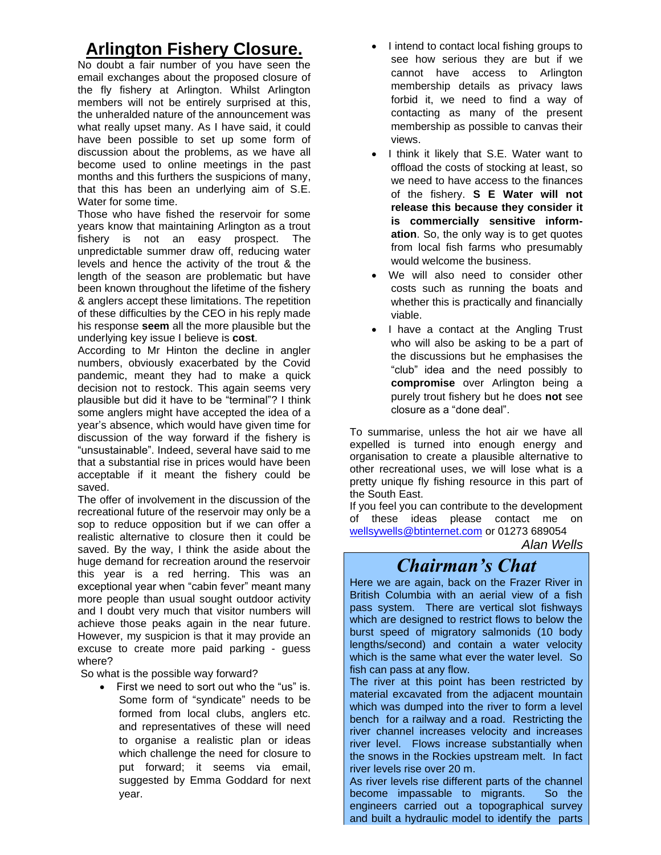### **Arlington Fishery Closure.**

No doubt a fair number of you have seen the email exchanges about the proposed closure of the fly fishery at Arlington. Whilst Arlington members will not be entirely surprised at this, the unheralded nature of the announcement was what really upset many. As I have said, it could have been possible to set up some form of discussion about the problems, as we have all become used to online meetings in the past months and this furthers the suspicions of many, that this has been an underlying aim of S.E. Water for some time.

Those who have fished the reservoir for some years know that maintaining Arlington as a trout fishery is not an easy prospect. The unpredictable summer draw off, reducing water levels and hence the activity of the trout & the length of the season are problematic but have been known throughout the lifetime of the fishery & anglers accept these limitations. The repetition of these difficulties by the CEO in his reply made his response **seem** all the more plausible but the underlying key issue I believe is **cost**.

According to Mr Hinton the decline in angler numbers, obviously exacerbated by the Covid pandemic, meant they had to make a quick decision not to restock. This again seems very plausible but did it have to be "terminal"? I think some anglers might have accepted the idea of a year's absence, which would have given time for discussion of the way forward if the fishery is "unsustainable". Indeed, several have said to me that a substantial rise in prices would have been acceptable if it meant the fishery could be saved.

The offer of involvement in the discussion of the recreational future of the reservoir may only be a sop to reduce opposition but if we can offer a realistic alternative to closure then it could be saved. By the way, I think the aside about the huge demand for recreation around the reservoir this year is a red herring. This was an exceptional year when "cabin fever" meant many more people than usual sought outdoor activity and I doubt very much that visitor numbers will achieve those peaks again in the near future. However, my suspicion is that it may provide an excuse to create more paid parking - guess where?

So what is the possible way forward?

• First we need to sort out who the "us" is. Some form of "syndicate" needs to be formed from local clubs, anglers etc. and representatives of these will need to organise a realistic plan or ideas which challenge the need for closure to put forward; it seems via email, suggested by Emma Goddard for next year.

- I intend to contact local fishing groups to see how serious they are but if we cannot have access to Arlington membership details as privacy laws forbid it, we need to find a way of contacting as many of the present membership as possible to canvas their views.
- I think it likely that S.E. Water want to offload the costs of stocking at least, so we need to have access to the finances of the fishery. **S E Water will not release this because they consider it is commercially sensitive information**. So, the only way is to get quotes from local fish farms who presumably would welcome the business.
- We will also need to consider other costs such as running the boats and whether this is practically and financially viable.
- I have a contact at the Angling Trust who will also be asking to be a part of the discussions but he emphasises the "club" idea and the need possibly to **compromise** over Arlington being a purely trout fishery but he does **not** see closure as a "done deal".

To summarise, unless the hot air we have all expelled is turned into enough energy and organisation to create a plausible alternative to other recreational uses, we will lose what is a pretty unique fly fishing resource in this part of the South East.

If you feel you can contribute to the development of these ideas please contact me on [wellsywells@btinternet.com](mailto:wellsywells@btinternet.com) or 01273 689054

*Alan Wells*

## *Chairman's Chat*

Here we are again, back on the Frazer River in British Columbia with an aerial view of a fish pass system. There are vertical slot fishways which are designed to restrict flows to below the burst speed of migratory salmonids (10 body lengths/second) and contain a water velocity which is the same what ever the water level. So fish can pass at any flow.

The river at this point has been restricted by material excavated from the adjacent mountain which was dumped into the river to form a level bench for a railway and a road. Restricting the river channel increases velocity and increases river level. Flows increase substantially when the snows in the Rockies upstream melt. In fact river levels rise over 20 m.

As river levels rise different parts of the channel become impassable to migrants. So the engineers carried out a topographical survey and built a hydraulic model to identify the parts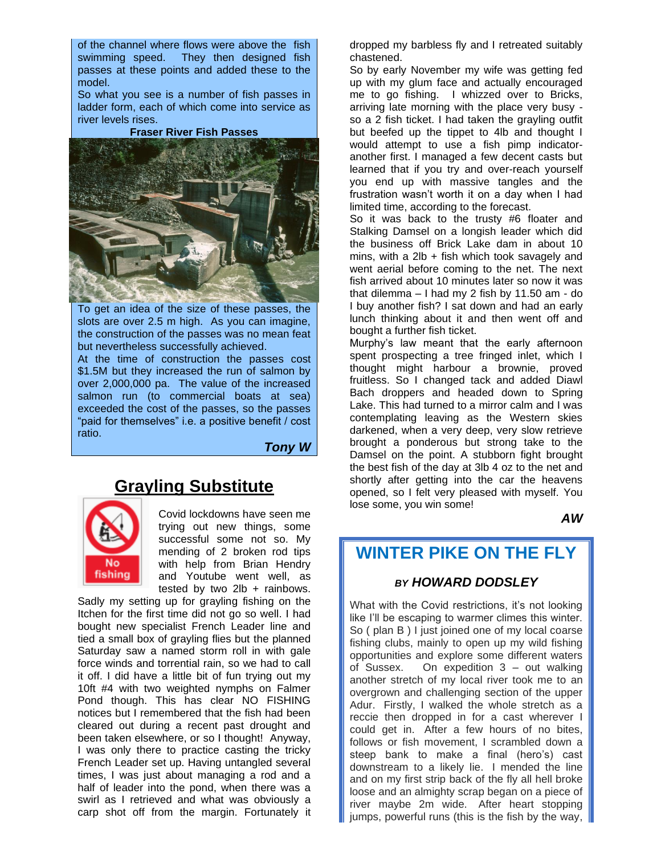of the channel where flows were above the fish swimming speed. They then designed fish passes at these points and added these to the model.

So what you see is a number of fish passes in ladder form, each of which come into service as river levels rises.

**Fraser River Fish Passes**



To get an idea of the size of these passes, the slots are over 2.5 m high. As you can imagine, the construction of the passes was no mean feat but nevertheless successfully achieved.

At the time of construction the passes cost \$1.5M but they increased the run of salmon by over 2,000,000 pa. The value of the increased salmon run (to commercial boats at sea) exceeded the cost of the passes, so the passes "paid for themselves" i.e. a positive benefit / cost ratio.

*Tony W*



**Grayling Substitute**

Covid lockdowns have seen me trying out new things, some successful some not so. My mending of 2 broken rod tips with help from Brian Hendry and Youtube went well, as tested by two  $2Ib + rainbows$ .

Sadly my setting up for grayling fishing on the Itchen for the first time did not go so well. I had bought new specialist French Leader line and tied a small box of grayling flies but the planned Saturday saw a named storm roll in with gale force winds and torrential rain, so we had to call it off. I did have a little bit of fun trying out my 10ft #4 with two weighted nymphs on Falmer Pond though. This has clear NO FISHING notices but I remembered that the fish had been cleared out during a recent past drought and been taken elsewhere, or so I thought! Anyway, I was only there to practice casting the tricky French Leader set up. Having untangled several times, I was just about managing a rod and a half of leader into the pond, when there was a swirl as I retrieved and what was obviously a carp shot off from the margin. Fortunately it

dropped my barbless fly and I retreated suitably chastened.

So by early November my wife was getting fed up with my glum face and actually encouraged me to go fishing. I whizzed over to Bricks, arriving late morning with the place very busy so a 2 fish ticket. I had taken the grayling outfit but beefed up the tippet to 4lb and thought I would attempt to use a fish pimp indicatoranother first. I managed a few decent casts but learned that if you try and over-reach yourself you end up with massive tangles and the frustration wasn't worth it on a day when I had limited time, according to the forecast.

So it was back to the trusty #6 floater and Stalking Damsel on a longish leader which did the business off Brick Lake dam in about 10 mins, with a  $2\mathsf{lb}$  + fish which took savagely and went aerial before coming to the net. The next fish arrived about 10 minutes later so now it was that dilemma – I had my 2 fish by 11.50 am - do I buy another fish? I sat down and had an early lunch thinking about it and then went off and bought a further fish ticket.

Murphy's law meant that the early afternoon spent prospecting a tree fringed inlet, which I thought might harbour a brownie, proved fruitless. So I changed tack and added Diawl Bach droppers and headed down to Spring Lake. This had turned to a mirror calm and I was contemplating leaving as the Western skies darkened, when a very deep, very slow retrieve brought a ponderous but strong take to the Damsel on the point. A stubborn fight brought the best fish of the day at 3lb 4 oz to the net and shortly after getting into the car the heavens opened, so I felt very pleased with myself. You lose some, you win some!

*AW*

#### **WINTER PIKE ON THE FLY**

#### *BY HOWARD DODSLEY*

What with the Covid restrictions, it's not looking like I'll be escaping to warmer climes this winter. So ( plan B ) I just joined one of my local coarse fishing clubs, mainly to open up my wild fishing opportunities and explore some different waters of Sussex. On expedition 3 – out walking another stretch of my local river took me to an overgrown and challenging section of the upper Adur. Firstly, I walked the whole stretch as a reccie then dropped in for a cast wherever I could get in. After a few hours of no bites, follows or fish movement, I scrambled down a steep bank to make a final (hero's) cast downstream to a likely lie. I mended the line and on my first strip back of the fly all hell broke loose and an almighty scrap began on a piece of river maybe 2m wide. After heart stopping jumps, powerful runs (this is the fish by the way,